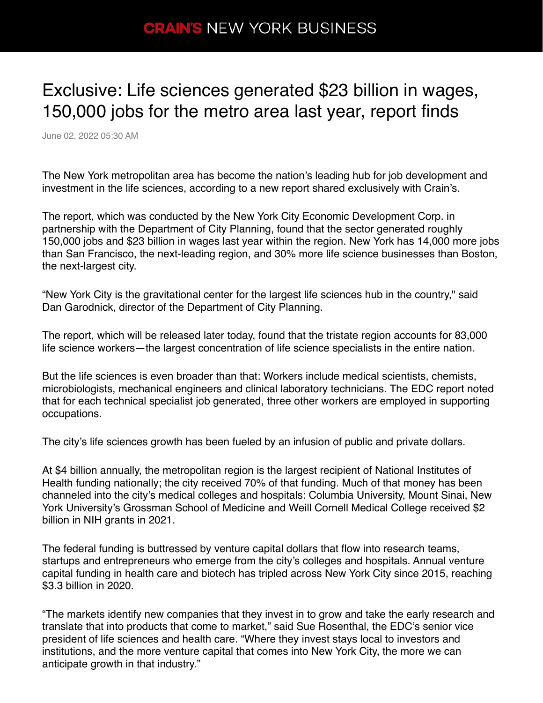## **CRAIN'S NEW YORK BUSINESS**

## Exclusive: Life sciences generated \$23 billion in wages, 150,000 jobs for the metro area last year, report finds

June 02, 2022 05:30 AM

The New York metropolitan area has become the nation's leading hub for job development and investment in the life sciences, according to a new report shared exclusively with Crain's.

The report, which was conducted by the New York City Economic Development Corp. in partnership with the Department of City Planning, found that the sector generated roughly 150,000 jobs and \$23 billion in wages last year within the region. New York has 14,000 more jobs than San Francisco, the next-leading region, and 30% more life science businesses than Boston, the next-largest city.

"New York City is the gravitational center for the largest life sciences hub in the country," said Dan Garodnick, director of the Department of City Planning.

The report, which will be released later today, found that the tristate region accounts for 83,000 life science workers—the largest concentration of life science specialists in the entire nation.

But the life sciences is even broader than that: Workers include medical scientists, chemists, microbiologists, mechanical engineers and clinical laboratory technicians. The EDC report noted that for each technical specialist job generated, three other workers are employed in supporting occupations.

The city's life sciences growth has been fueled by an infusion of public and private dollars.

At \$4 billion annually, the metropolitan region is the largest recipient of National Institutes of Health funding nationally; the city received 70% of that funding. Much of that money has been channeled into the city's medical colleges and hospitals: Columbia University, Mount Sinai, New York University's Grossman School of Medicine and Weill Cornell Medical College received \$2 billion in NIH grants in 2021.

The federal funding is buttressed by venture capital dollars that flow into research teams, startups and entrepreneurs who emerge from the city's colleges and hospitals. Annual venture capital funding in health care and biotech has tripled across New York City since 2015, reaching \$3.3 billion in 2020.

"The markets identify new companies that they invest in to grow and take the early research and translate that into products that come to market," said Sue Rosenthal, the EDC's senior vice president of life sciences and health care. "Where they invest stays local to investors and institutions, and the more venture capital that comes into New York City, the more we can anticipate growth in that industry."